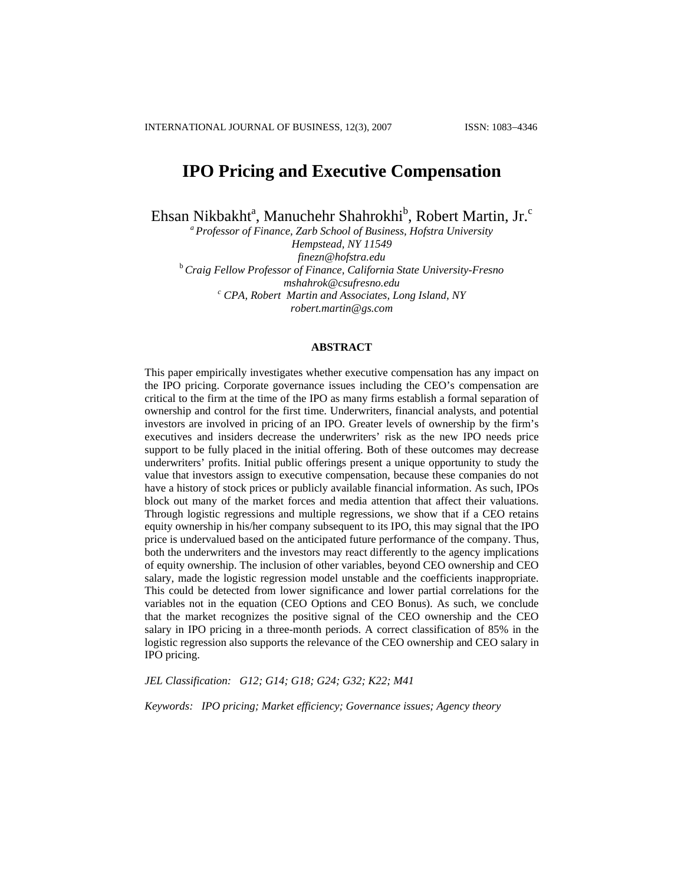# **IPO Pricing and Executive Compensation**

Ehsan Nikbakht<sup>a</sup>, Manuchehr Shahrokhi<sup>b</sup>, Robert Martin, Jr.<sup>c</sup>

*a Professor of Finance, Zarb School of Business, Hofstra University Hempstead, NY 11549 finezn@hofstra.edu* <sup>b</sup>*Craig Fellow Professor of Finance, California State University-Fresno mshahrok@csufresno.edu c CPA, Robert Martin and Associates, Long Island, NY [robert.martin@gs.com](mailto:robert.martin@gs.com)*

### **ABSTRACT**

This paper empirically investigates whether executive compensation has any impact on the IPO pricing. Corporate governance issues including the CEO's compensation are critical to the firm at the time of the IPO as many firms establish a formal separation of ownership and control for the first time. Underwriters, financial analysts, and potential investors are involved in pricing of an IPO. Greater levels of ownership by the firm's executives and insiders decrease the underwriters' risk as the new IPO needs price support to be fully placed in the initial offering. Both of these outcomes may decrease underwriters' profits. Initial public offerings present a unique opportunity to study the value that investors assign to executive compensation, because these companies do not have a history of stock prices or publicly available financial information. As such, IPOs block out many of the market forces and media attention that affect their valuations. Through logistic regressions and multiple regressions, we show that if a CEO retains equity ownership in his/her company subsequent to its IPO, this may signal that the IPO price is undervalued based on the anticipated future performance of the company. Thus, both the underwriters and the investors may react differently to the agency implications of equity ownership. The inclusion of other variables, beyond CEO ownership and CEO salary, made the logistic regression model unstable and the coefficients inappropriate. This could be detected from lower significance and lower partial correlations for the variables not in the equation (CEO Options and CEO Bonus). As such, we conclude that the market recognizes the positive signal of the CEO ownership and the CEO salary in IPO pricing in a three-month periods. A correct classification of 85% in the logistic regression also supports the relevance of the CEO ownership and CEO salary in IPO pricing.

*JEL Classification: G12; G14; G18; G24; G32; K22; M41* 

*Keywords: IPO pricing; Market efficiency; Governance issues; Agency theory*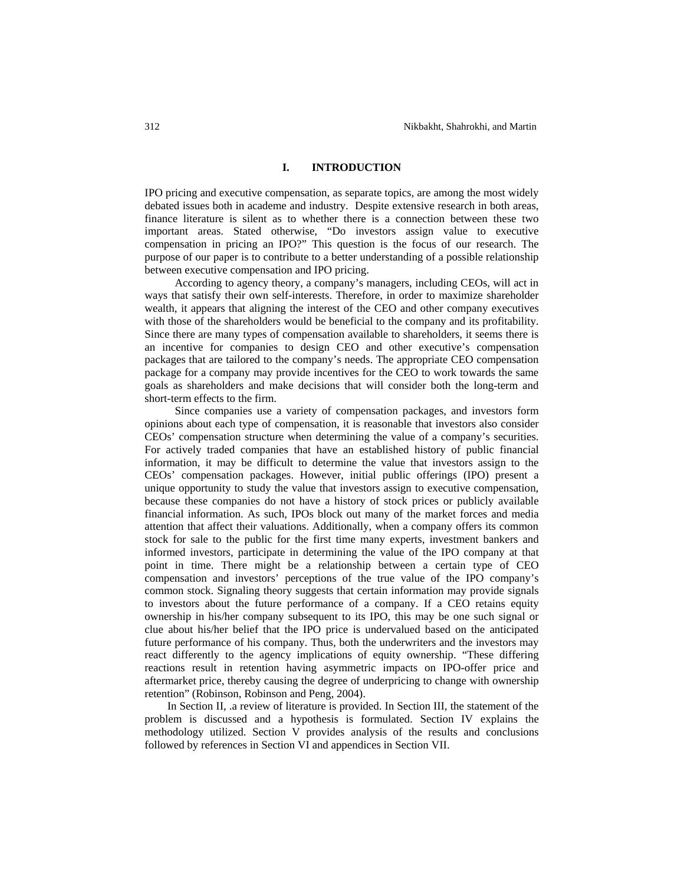## **I. INTRODUCTION**

IPO pricing and executive compensation, as separate topics, are among the most widely debated issues both in academe and industry. Despite extensive research in both areas, finance literature is silent as to whether there is a connection between these two important areas. Stated otherwise, "Do investors assign value to executive compensation in pricing an IPO?" This question is the focus of our research. The purpose of our paper is to contribute to a better understanding of a possible relationship between executive compensation and IPO pricing.

According to agency theory, a company's managers, including CEOs, will act in ways that satisfy their own self-interests. Therefore, in order to maximize shareholder wealth, it appears that aligning the interest of the CEO and other company executives with those of the shareholders would be beneficial to the company and its profitability. Since there are many types of compensation available to shareholders, it seems there is an incentive for companies to design CEO and other executive's compensation packages that are tailored to the company's needs. The appropriate CEO compensation package for a company may provide incentives for the CEO to work towards the same goals as shareholders and make decisions that will consider both the long-term and short-term effects to the firm.

Since companies use a variety of compensation packages, and investors form opinions about each type of compensation, it is reasonable that investors also consider CEOs' compensation structure when determining the value of a company's securities. For actively traded companies that have an established history of public financial information, it may be difficult to determine the value that investors assign to the CEOs' compensation packages. However, initial public offerings (IPO) present a unique opportunity to study the value that investors assign to executive compensation, because these companies do not have a history of stock prices or publicly available financial information. As such, IPOs block out many of the market forces and media attention that affect their valuations. Additionally, when a company offers its common stock for sale to the public for the first time many experts, investment bankers and informed investors, participate in determining the value of the IPO company at that point in time. There might be a relationship between a certain type of CEO compensation and investors' perceptions of the true value of the IPO company's common stock. Signaling theory suggests that certain information may provide signals to investors about the future performance of a company. If a CEO retains equity ownership in his/her company subsequent to its IPO, this may be one such signal or clue about his/her belief that the IPO price is undervalued based on the anticipated future performance of his company. Thus, both the underwriters and the investors may react differently to the agency implications of equity ownership. "These differing reactions result in retention having asymmetric impacts on IPO-offer price and aftermarket price, thereby causing the degree of underpricing to change with ownership retention" (Robinson, Robinson and Peng, 2004).

In Section II, .a review of literature is provided. In Section III, the statement of the problem is discussed and a hypothesis is formulated. Section IV explains the methodology utilized. Section V provides analysis of the results and conclusions followed by references in Section VI and appendices in Section VII.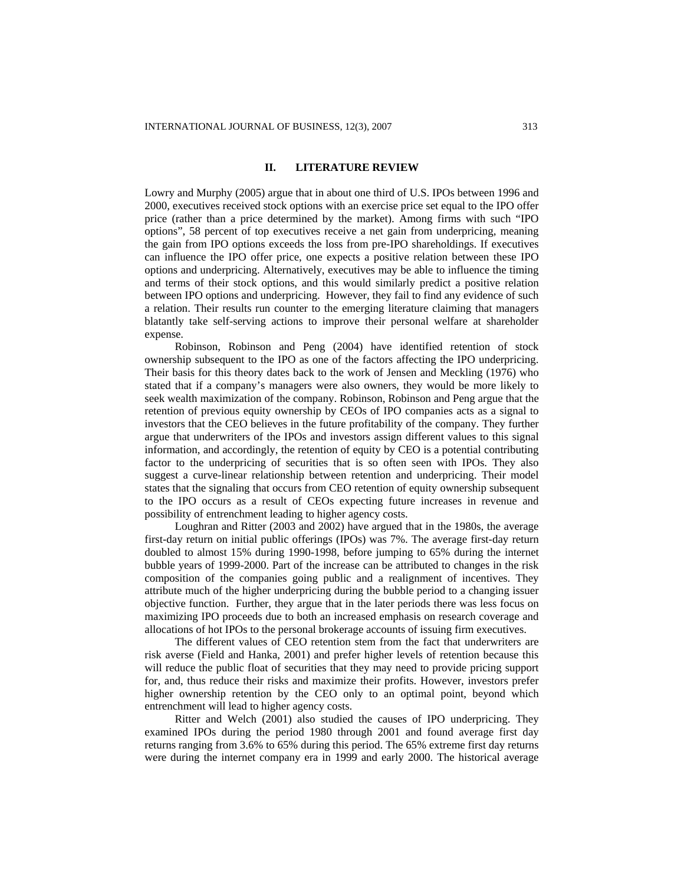### **II. LITERATURE REVIEW**

Lowry and Murphy (2005) argue that in about one third of U.S. IPOs between 1996 and 2000, executives received stock options with an exercise price set equal to the IPO offer price (rather than a price determined by the market). Among firms with such "IPO options", 58 percent of top executives receive a net gain from underpricing, meaning the gain from IPO options exceeds the loss from pre-IPO shareholdings. If executives can influence the IPO offer price, one expects a positive relation between these IPO options and underpricing. Alternatively, executives may be able to influence the timing and terms of their stock options, and this would similarly predict a positive relation between IPO options and underpricing. However, they fail to find any evidence of such a relation. Their results run counter to the emerging literature claiming that managers blatantly take self-serving actions to improve their personal welfare at shareholder expense.

Robinson, Robinson and Peng (2004) have identified retention of stock ownership subsequent to the IPO as one of the factors affecting the IPO underpricing. Their basis for this theory dates back to the work of Jensen and Meckling (1976) who stated that if a company's managers were also owners, they would be more likely to seek wealth maximization of the company. Robinson, Robinson and Peng argue that the retention of previous equity ownership by CEOs of IPO companies acts as a signal to investors that the CEO believes in the future profitability of the company. They further argue that underwriters of the IPOs and investors assign different values to this signal information, and accordingly, the retention of equity by CEO is a potential contributing factor to the underpricing of securities that is so often seen with IPOs. They also suggest a curve-linear relationship between retention and underpricing. Their model states that the signaling that occurs from CEO retention of equity ownership subsequent to the IPO occurs as a result of CEOs expecting future increases in revenue and possibility of entrenchment leading to higher agency costs.

Loughran and Ritter (2003 and 2002) have argued that in the 1980s, the average first-day return on initial public offerings (IPOs) was 7%. The average first-day return doubled to almost 15% during 1990-1998, before jumping to 65% during the internet bubble years of 1999-2000. Part of the increase can be attributed to changes in the risk composition of the companies going public and a realignment of incentives. They attribute much of the higher underpricing during the bubble period to a changing issuer objective function. Further, they argue that in the later periods there was less focus on maximizing IPO proceeds due to both an increased emphasis on research coverage and allocations of hot IPOs to the personal brokerage accounts of issuing firm executives.

The different values of CEO retention stem from the fact that underwriters are risk averse (Field and Hanka, 2001) and prefer higher levels of retention because this will reduce the public float of securities that they may need to provide pricing support for, and, thus reduce their risks and maximize their profits. However, investors prefer higher ownership retention by the CEO only to an optimal point, beyond which entrenchment will lead to higher agency costs.

Ritter and Welch (2001) also studied the causes of IPO underpricing. They examined IPOs during the period 1980 through 2001 and found average first day returns ranging from 3.6% to 65% during this period. The 65% extreme first day returns were during the internet company era in 1999 and early 2000. The historical average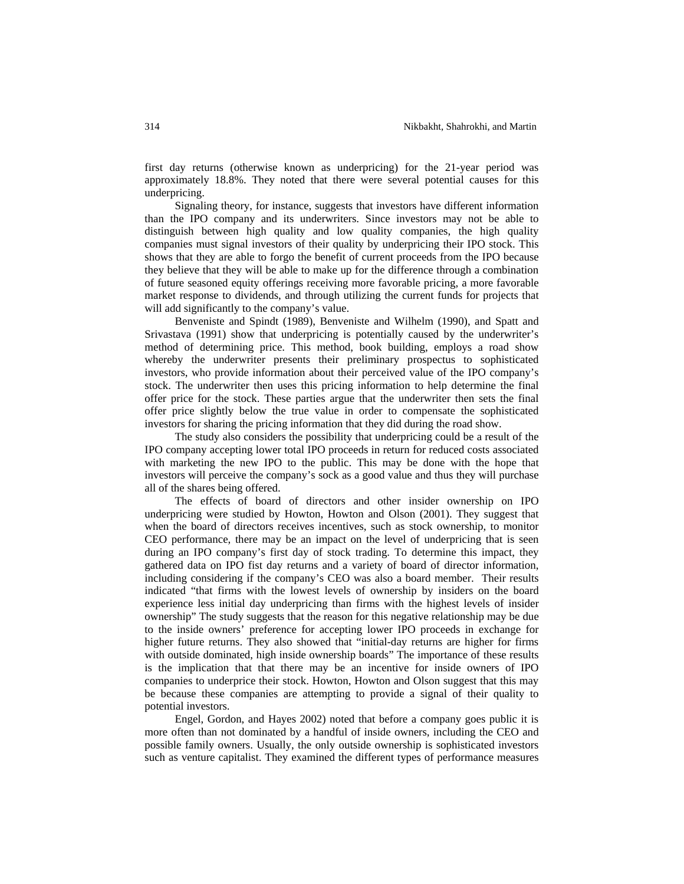first day returns (otherwise known as underpricing) for the 21-year period was approximately 18.8%. They noted that there were several potential causes for this underpricing.

Signaling theory, for instance, suggests that investors have different information than the IPO company and its underwriters. Since investors may not be able to distinguish between high quality and low quality companies, the high quality companies must signal investors of their quality by underpricing their IPO stock. This shows that they are able to forgo the benefit of current proceeds from the IPO because they believe that they will be able to make up for the difference through a combination of future seasoned equity offerings receiving more favorable pricing, a more favorable market response to dividends, and through utilizing the current funds for projects that will add significantly to the company's value.

Benveniste and Spindt (1989), Benveniste and Wilhelm (1990), and Spatt and Srivastava (1991) show that underpricing is potentially caused by the underwriter's method of determining price. This method, book building, employs a road show whereby the underwriter presents their preliminary prospectus to sophisticated investors, who provide information about their perceived value of the IPO company's stock. The underwriter then uses this pricing information to help determine the final offer price for the stock. These parties argue that the underwriter then sets the final offer price slightly below the true value in order to compensate the sophisticated investors for sharing the pricing information that they did during the road show.

The study also considers the possibility that underpricing could be a result of the IPO company accepting lower total IPO proceeds in return for reduced costs associated with marketing the new IPO to the public. This may be done with the hope that investors will perceive the company's sock as a good value and thus they will purchase all of the shares being offered.

The effects of board of directors and other insider ownership on IPO underpricing were studied by Howton, Howton and Olson (2001). They suggest that when the board of directors receives incentives, such as stock ownership, to monitor CEO performance, there may be an impact on the level of underpricing that is seen during an IPO company's first day of stock trading. To determine this impact, they gathered data on IPO fist day returns and a variety of board of director information, including considering if the company's CEO was also a board member. Their results indicated "that firms with the lowest levels of ownership by insiders on the board experience less initial day underpricing than firms with the highest levels of insider ownership" The study suggests that the reason for this negative relationship may be due to the inside owners' preference for accepting lower IPO proceeds in exchange for higher future returns. They also showed that "initial-day returns are higher for firms with outside dominated, high inside ownership boards" The importance of these results is the implication that that there may be an incentive for inside owners of IPO companies to underprice their stock. Howton, Howton and Olson suggest that this may be because these companies are attempting to provide a signal of their quality to potential investors.

Engel, Gordon, and Hayes 2002) noted that before a company goes public it is more often than not dominated by a handful of inside owners, including the CEO and possible family owners. Usually, the only outside ownership is sophisticated investors such as venture capitalist. They examined the different types of performance measures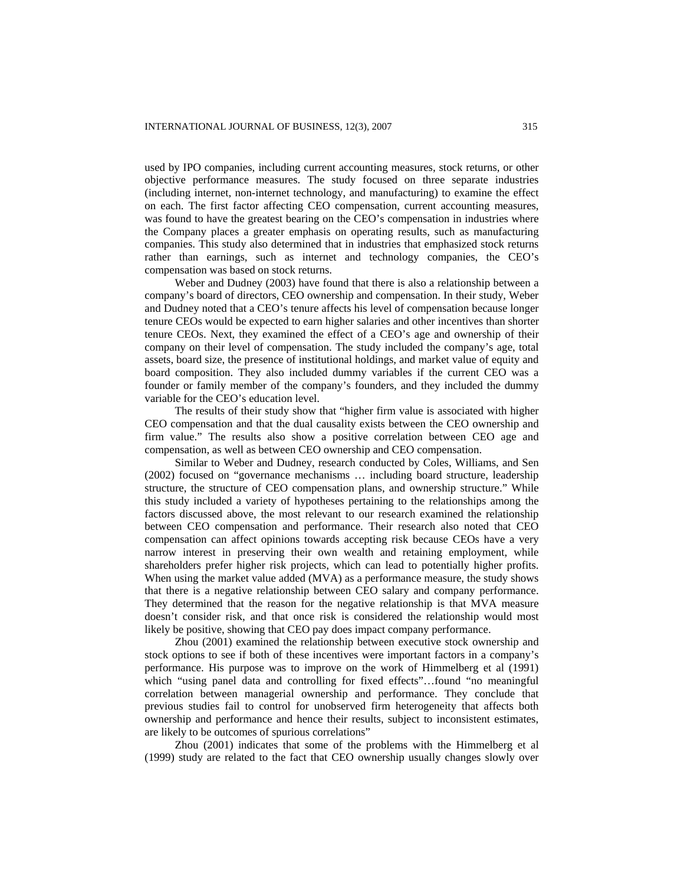used by IPO companies, including current accounting measures, stock returns, or other objective performance measures. The study focused on three separate industries (including internet, non-internet technology, and manufacturing) to examine the effect on each. The first factor affecting CEO compensation, current accounting measures, was found to have the greatest bearing on the CEO's compensation in industries where the Company places a greater emphasis on operating results, such as manufacturing companies. This study also determined that in industries that emphasized stock returns rather than earnings, such as internet and technology companies, the CEO's compensation was based on stock returns.

Weber and Dudney (2003) have found that there is also a relationship between a company's board of directors, CEO ownership and compensation. In their study, Weber and Dudney noted that a CEO's tenure affects his level of compensation because longer tenure CEOs would be expected to earn higher salaries and other incentives than shorter tenure CEOs. Next, they examined the effect of a CEO's age and ownership of their company on their level of compensation. The study included the company's age, total assets, board size, the presence of institutional holdings, and market value of equity and board composition. They also included dummy variables if the current CEO was a founder or family member of the company's founders, and they included the dummy variable for the CEO's education level.

The results of their study show that "higher firm value is associated with higher CEO compensation and that the dual causality exists between the CEO ownership and firm value." The results also show a positive correlation between CEO age and compensation, as well as between CEO ownership and CEO compensation.

Similar to Weber and Dudney, research conducted by Coles, Williams, and Sen (2002) focused on "governance mechanisms … including board structure, leadership structure, the structure of CEO compensation plans, and ownership structure." While this study included a variety of hypotheses pertaining to the relationships among the factors discussed above, the most relevant to our research examined the relationship between CEO compensation and performance. Their research also noted that CEO compensation can affect opinions towards accepting risk because CEOs have a very narrow interest in preserving their own wealth and retaining employment, while shareholders prefer higher risk projects, which can lead to potentially higher profits. When using the market value added (MVA) as a performance measure, the study shows that there is a negative relationship between CEO salary and company performance. They determined that the reason for the negative relationship is that MVA measure doesn't consider risk, and that once risk is considered the relationship would most likely be positive, showing that CEO pay does impact company performance.

Zhou (2001) examined the relationship between executive stock ownership and stock options to see if both of these incentives were important factors in a company's performance. His purpose was to improve on the work of Himmelberg et al (1991) which "using panel data and controlling for fixed effects"…found "no meaningful correlation between managerial ownership and performance. They conclude that previous studies fail to control for unobserved firm heterogeneity that affects both ownership and performance and hence their results, subject to inconsistent estimates, are likely to be outcomes of spurious correlations"

Zhou (2001) indicates that some of the problems with the Himmelberg et al (1999) study are related to the fact that CEO ownership usually changes slowly over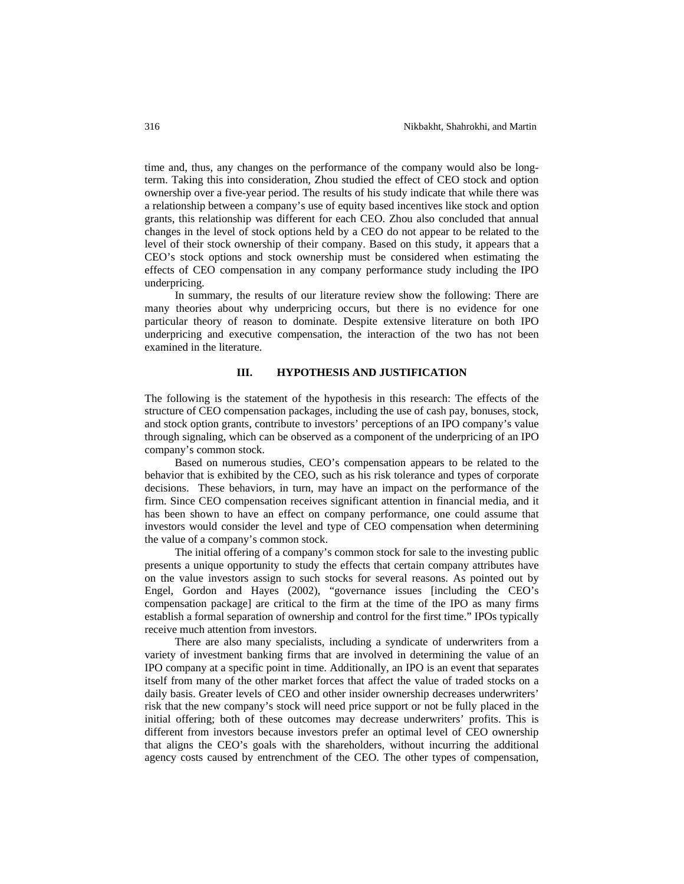time and, thus, any changes on the performance of the company would also be longterm. Taking this into consideration, Zhou studied the effect of CEO stock and option ownership over a five-year period. The results of his study indicate that while there was a relationship between a company's use of equity based incentives like stock and option grants, this relationship was different for each CEO. Zhou also concluded that annual changes in the level of stock options held by a CEO do not appear to be related to the level of their stock ownership of their company. Based on this study, it appears that a CEO's stock options and stock ownership must be considered when estimating the effects of CEO compensation in any company performance study including the IPO underpricing.

In summary, the results of our literature review show the following: There are many theories about why underpricing occurs, but there is no evidence for one particular theory of reason to dominate. Despite extensive literature on both IPO underpricing and executive compensation, the interaction of the two has not been examined in the literature.

### **III. HYPOTHESIS AND JUSTIFICATION**

The following is the statement of the hypothesis in this research: The effects of the structure of CEO compensation packages, including the use of cash pay, bonuses, stock, and stock option grants, contribute to investors' perceptions of an IPO company's value through signaling, which can be observed as a component of the underpricing of an IPO company's common stock.

 Based on numerous studies, CEO's compensation appears to be related to the behavior that is exhibited by the CEO, such as his risk tolerance and types of corporate decisions. These behaviors, in turn, may have an impact on the performance of the firm. Since CEO compensation receives significant attention in financial media, and it has been shown to have an effect on company performance, one could assume that investors would consider the level and type of CEO compensation when determining the value of a company's common stock.

The initial offering of a company's common stock for sale to the investing public presents a unique opportunity to study the effects that certain company attributes have on the value investors assign to such stocks for several reasons. As pointed out by Engel, Gordon and Hayes (2002), "governance issues [including the CEO's compensation package] are critical to the firm at the time of the IPO as many firms establish a formal separation of ownership and control for the first time." IPOs typically receive much attention from investors.

There are also many specialists, including a syndicate of underwriters from a variety of investment banking firms that are involved in determining the value of an IPO company at a specific point in time. Additionally, an IPO is an event that separates itself from many of the other market forces that affect the value of traded stocks on a daily basis. Greater levels of CEO and other insider ownership decreases underwriters' risk that the new company's stock will need price support or not be fully placed in the initial offering; both of these outcomes may decrease underwriters' profits. This is different from investors because investors prefer an optimal level of CEO ownership that aligns the CEO's goals with the shareholders, without incurring the additional agency costs caused by entrenchment of the CEO. The other types of compensation,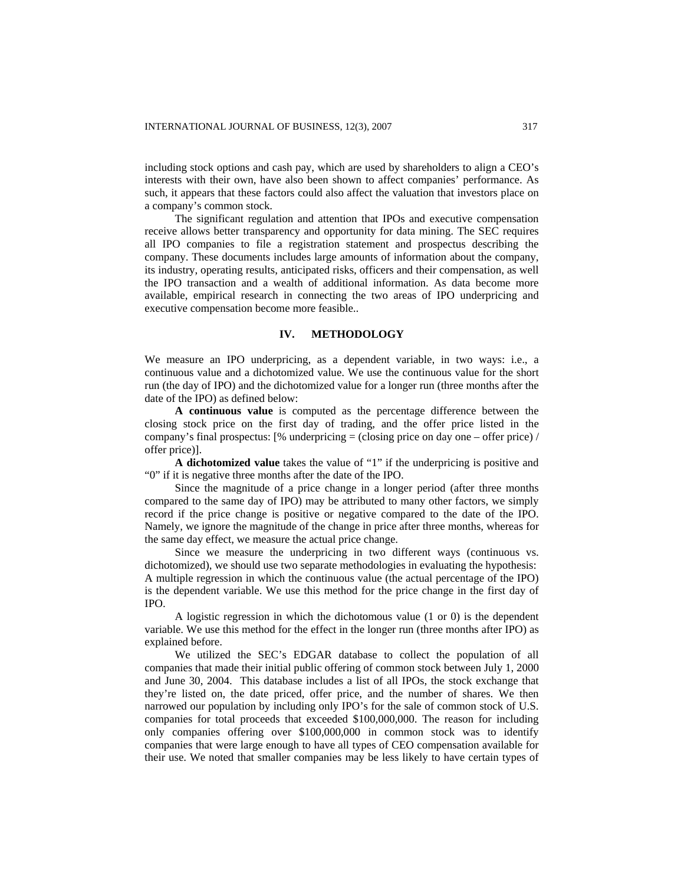including stock options and cash pay, which are used by shareholders to align a CEO's interests with their own, have also been shown to affect companies' performance. As such, it appears that these factors could also affect the valuation that investors place on a company's common stock.

The significant regulation and attention that IPOs and executive compensation receive allows better transparency and opportunity for data mining. The SEC requires all IPO companies to file a registration statement and prospectus describing the company. These documents includes large amounts of information about the company, its industry, operating results, anticipated risks, officers and their compensation, as well the IPO transaction and a wealth of additional information. As data become more available, empirical research in connecting the two areas of IPO underpricing and executive compensation become more feasible..

# **IV. METHODOLOGY**

We measure an IPO underpricing, as a dependent variable, in two ways: i.e., a continuous value and a dichotomized value. We use the continuous value for the short run (the day of IPO) and the dichotomized value for a longer run (three months after the date of the IPO) as defined below:

**A continuous value** is computed as the percentage difference between the closing stock price on the first day of trading, and the offer price listed in the company's final prospectus:  $[\%$  underpricing = (closing price on day one – offer price) / offer price)].

**A dichotomized value** takes the value of "1" if the underpricing is positive and "0" if it is negative three months after the date of the IPO.

Since the magnitude of a price change in a longer period (after three months compared to the same day of IPO) may be attributed to many other factors, we simply record if the price change is positive or negative compared to the date of the IPO. Namely, we ignore the magnitude of the change in price after three months, whereas for the same day effect, we measure the actual price change.

Since we measure the underpricing in two different ways (continuous vs. dichotomized), we should use two separate methodologies in evaluating the hypothesis: A multiple regression in which the continuous value (the actual percentage of the IPO) is the dependent variable. We use this method for the price change in the first day of IPO.

A logistic regression in which the dichotomous value (1 or 0) is the dependent variable. We use this method for the effect in the longer run (three months after IPO) as explained before.

We utilized the SEC's EDGAR database to collect the population of all companies that made their initial public offering of common stock between July 1, 2000 and June 30, 2004. This database includes a list of all IPOs, the stock exchange that they're listed on, the date priced, offer price, and the number of shares. We then narrowed our population by including only IPO's for the sale of common stock of U.S. companies for total proceeds that exceeded \$100,000,000. The reason for including only companies offering over \$100,000,000 in common stock was to identify companies that were large enough to have all types of CEO compensation available for their use. We noted that smaller companies may be less likely to have certain types of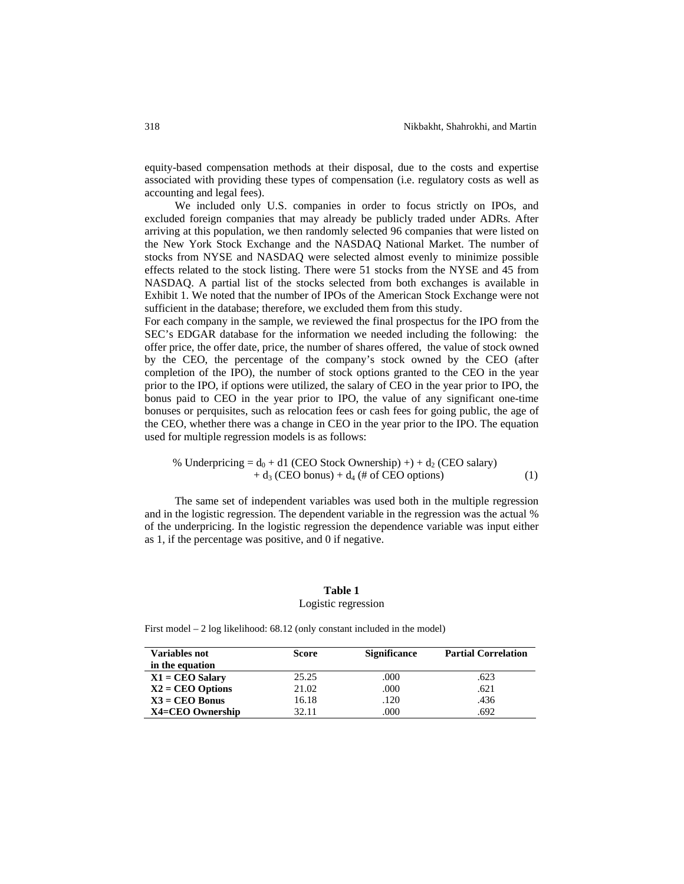equity-based compensation methods at their disposal, due to the costs and expertise associated with providing these types of compensation (i.e. regulatory costs as well as accounting and legal fees).

We included only U.S. companies in order to focus strictly on IPOs, and excluded foreign companies that may already be publicly traded under ADRs. After arriving at this population, we then randomly selected 96 companies that were listed on the New York Stock Exchange and the NASDAQ National Market. The number of stocks from NYSE and NASDAQ were selected almost evenly to minimize possible effects related to the stock listing. There were 51 stocks from the NYSE and 45 from NASDAQ. A partial list of the stocks selected from both exchanges is available in Exhibit 1. We noted that the number of IPOs of the American Stock Exchange were not sufficient in the database; therefore, we excluded them from this study.

For each company in the sample, we reviewed the final prospectus for the IPO from the SEC's EDGAR database for the information we needed including the following: the offer price, the offer date, price, the number of shares offered, the value of stock owned by the CEO, the percentage of the company's stock owned by the CEO (after completion of the IPO), the number of stock options granted to the CEO in the year prior to the IPO, if options were utilized, the salary of CEO in the year prior to IPO, the bonus paid to CEO in the year prior to IPO, the value of any significant one-time bonuses or perquisites, such as relocation fees or cash fees for going public, the age of the CEO, whether there was a change in CEO in the year prior to the IPO. The equation used for multiple regression models is as follows:

% Underpricing = 
$$
d_0
$$
 + d1 (CEO Stock Ownership) +) +  $d_2$  (CEO salary)  
+  $d_3$  (CEO bonus) +  $d_4$  (# of CEO options) (1)

The same set of independent variables was used both in the multiple regression and in the logistic regression. The dependent variable in the regression was the actual % of the underpricing. In the logistic regression the dependence variable was input either as 1, if the percentage was positive, and 0 if negative.

# **Table 1**

### Logistic regression

First model – 2 log likelihood: 68.12 (only constant included in the model)

| <b>Variables not</b> | <b>Score</b> | <b>Significance</b> | <b>Partial Correlation</b> |
|----------------------|--------------|---------------------|----------------------------|
| in the equation      |              |                     |                            |
| $X1 = CEO$ Salary    | 25.25        | .000                | .623                       |
| $X2 = CEO$ Options   | 21.02        | .000                | .621                       |
| $X3 = CEO$ Bonus     | 16.18        | .120                | .436                       |
| $X4 = CEO$ Ownership | 32.11        | .000                | .692                       |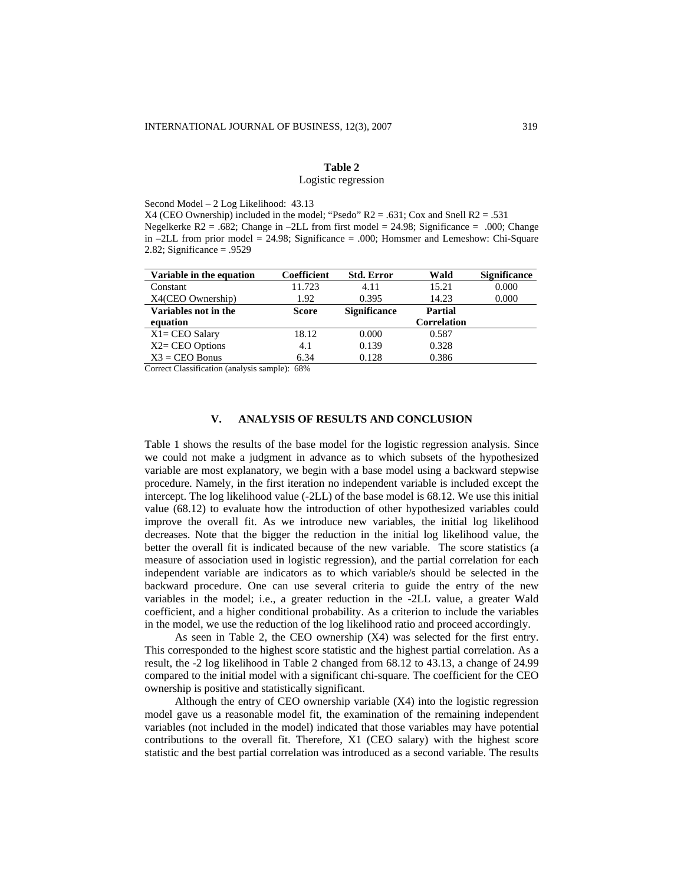# **Table 2**

### Logistic regression

Second Model – 2 Log Likelihood: 43.13

 $X4$  (CEO Ownership) included in the model; "Psedo"  $R2 = .631$ ; Cox and Snell  $R2 = .531$ Negelkerke R2 = .682; Change in  $-2LL$  from first model = 24.98; Significance = .000; Change in –2LL from prior model = 24.98; Significance = .000; Homsmer and Lemeshow: Chi-Square 2.82; Significance = .9529

| Variable in the equation | Coefficient  | <b>Std. Error</b>   | Wald           | <b>Significance</b> |
|--------------------------|--------------|---------------------|----------------|---------------------|
| Constant                 | 11.723       | 4.11                | 15.21          | 0.000               |
| X4(CEO Ownership)        | 1.92         | 0.395               | 14.23          | 0.000               |
| Variables not in the     | <b>Score</b> | <b>Significance</b> | <b>Partial</b> |                     |
| equation                 |              |                     | Correlation    |                     |
| $X1 = CEO$ Salary        | 18.12        | 0.000               | 0.587          |                     |
| $X2 = CEO$ Options       | 4.1          | 0.139               | 0.328          |                     |
| $X3 = CEO Bonus$         | 6.34         | 0.128               | 0.386          |                     |

Correct Classification (analysis sample): 68%

## **V. ANALYSIS OF RESULTS AND CONCLUSION**

Table 1 shows the results of the base model for the logistic regression analysis. Since we could not make a judgment in advance as to which subsets of the hypothesized variable are most explanatory, we begin with a base model using a backward stepwise procedure. Namely, in the first iteration no independent variable is included except the intercept. The log likelihood value (-2LL) of the base model is 68.12. We use this initial value (68.12) to evaluate how the introduction of other hypothesized variables could improve the overall fit. As we introduce new variables, the initial log likelihood decreases. Note that the bigger the reduction in the initial log likelihood value, the better the overall fit is indicated because of the new variable. The score statistics (a measure of association used in logistic regression), and the partial correlation for each independent variable are indicators as to which variable/s should be selected in the backward procedure. One can use several criteria to guide the entry of the new variables in the model; i.e., a greater reduction in the -2LL value, a greater Wald coefficient, and a higher conditional probability. As a criterion to include the variables in the model, we use the reduction of the log likelihood ratio and proceed accordingly.

As seen in Table 2, the CEO ownership (X4) was selected for the first entry. This corresponded to the highest score statistic and the highest partial correlation. As a result, the -2 log likelihood in Table 2 changed from 68.12 to 43.13, a change of 24.99 compared to the initial model with a significant chi-square. The coefficient for the CEO ownership is positive and statistically significant.

Although the entry of CEO ownership variable (X4) into the logistic regression model gave us a reasonable model fit, the examination of the remaining independent variables (not included in the model) indicated that those variables may have potential contributions to the overall fit. Therefore, X1 (CEO salary) with the highest score statistic and the best partial correlation was introduced as a second variable. The results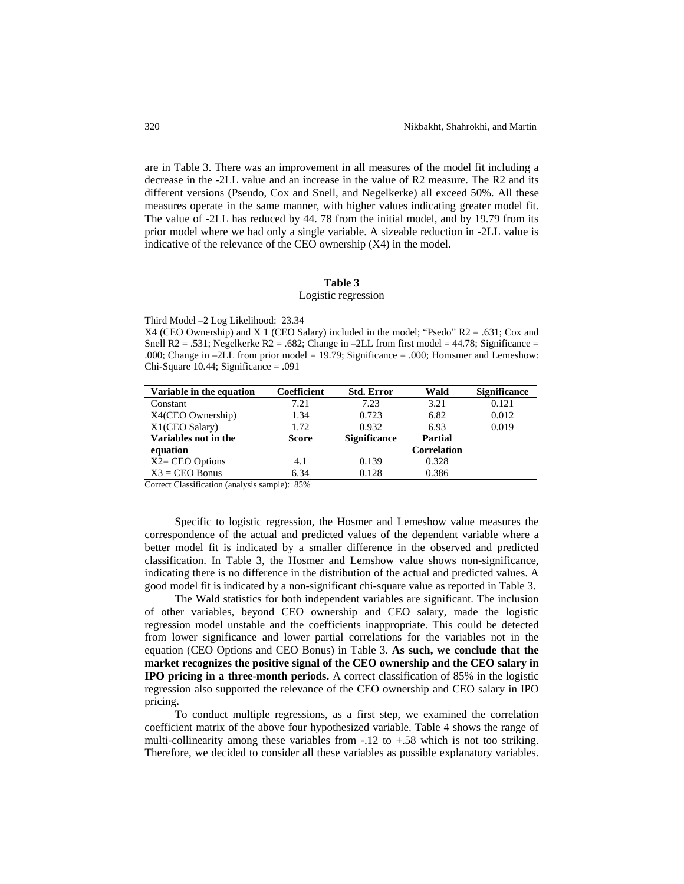are in Table 3. There was an improvement in all measures of the model fit including a decrease in the -2LL value and an increase in the value of R2 measure. The R2 and its different versions (Pseudo, Cox and Snell, and Negelkerke) all exceed 50%. All these measures operate in the same manner, with higher values indicating greater model fit. The value of -2LL has reduced by 44. 78 from the initial model, and by 19.79 from its prior model where we had only a single variable. A sizeable reduction in -2LL value is indicative of the relevance of the CEO ownership (X4) in the model.

### **Table 3**

#### Logistic regression

Third Model –2 Log Likelihood: 23.34

X4 (CEO Ownership) and X 1 (CEO Salary) included in the model; "Psedo" R2 = .631; Cox and Snell R2 = .531; Negelkerke R2 = .682; Change in  $-2LL$  from first model = 44.78; Significance = .000; Change in –2LL from prior model = 19.79; Significance = .000; Homsmer and Lemeshow: Chi-Square 10.44; Significance = .091

| Variable in the equation | Coefficient  | <b>Std. Error</b>   | Wald               | <b>Significance</b> |
|--------------------------|--------------|---------------------|--------------------|---------------------|
| Constant                 | 7.21         | 7.23                | 3.21               | 0.121               |
| X4(CEO Ownership)        | 1.34         | 0.723               | 6.82               | 0.012               |
| X1(CEO Salary)           | 1.72         | 0.932               | 6.93               | 0.019               |
| Variables not in the     | <b>Score</b> | <b>Significance</b> | <b>Partial</b>     |                     |
| equation                 |              |                     | <b>Correlation</b> |                     |
| $X2 = CEO$ Options       | 4.1          | 0.139               | 0.328              |                     |
| $X3 = CEO Bonus$         | 6.34         | 0.128               | 0.386              |                     |

Correct Classification (analysis sample): 85%

Specific to logistic regression, the Hosmer and Lemeshow value measures the correspondence of the actual and predicted values of the dependent variable where a better model fit is indicated by a smaller difference in the observed and predicted classification. In Table 3, the Hosmer and Lemshow value shows non-significance, indicating there is no difference in the distribution of the actual and predicted values. A good model fit is indicated by a non-significant chi-square value as reported in Table 3.

The Wald statistics for both independent variables are significant. The inclusion of other variables, beyond CEO ownership and CEO salary, made the logistic regression model unstable and the coefficients inappropriate. This could be detected from lower significance and lower partial correlations for the variables not in the equation (CEO Options and CEO Bonus) in Table 3. **As such, we conclude that the market recognizes the positive signal of the CEO ownership and the CEO salary in IPO pricing in a three-month periods.** A correct classification of 85% in the logistic regression also supported the relevance of the CEO ownership and CEO salary in IPO pricing**.** 

To conduct multiple regressions, as a first step, we examined the correlation coefficient matrix of the above four hypothesized variable. Table 4 shows the range of multi-collinearity among these variables from  $-.12$  to  $+.58$  which is not too striking. Therefore, we decided to consider all these variables as possible explanatory variables.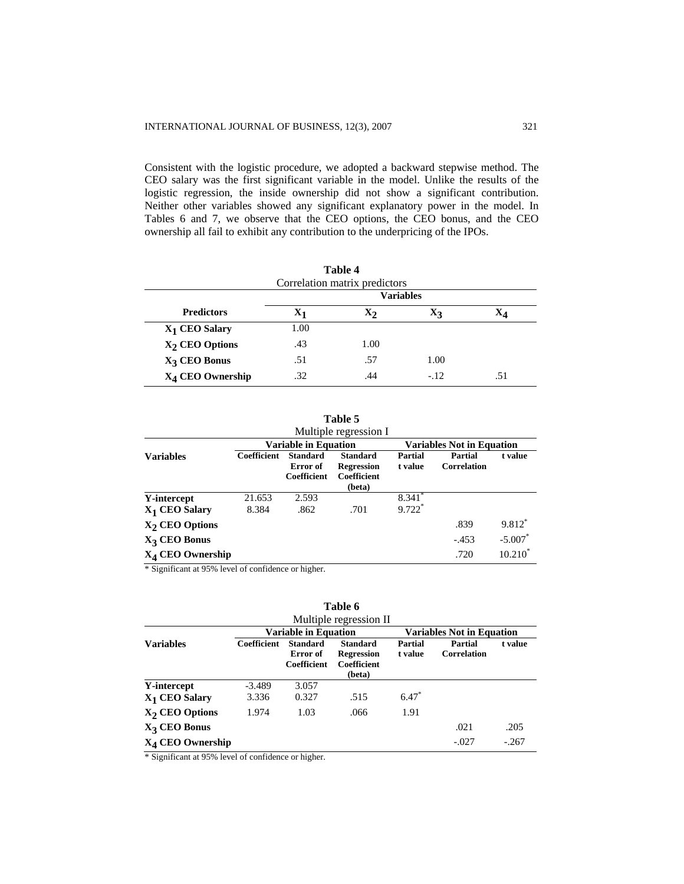Consistent with the logistic procedure, we adopted a backward stepwise method. The CEO salary was the first significant variable in the model. Unlike the results of the logistic regression, the inside ownership did not show a significant contribution. Neither other variables showed any significant explanatory power in the model. In Tables 6 and 7, we observe that the CEO options, the CEO bonus, and the CEO ownership all fail to exhibit any contribution to the underpricing of the IPOs.

| Table 4                       |                  |                |       |     |  |  |  |
|-------------------------------|------------------|----------------|-------|-----|--|--|--|
| Correlation matrix predictors |                  |                |       |     |  |  |  |
|                               | <b>Variables</b> |                |       |     |  |  |  |
| <b>Predictors</b>             | $\mathbf{X}_1$   | $\mathbf{x}_2$ | A3    |     |  |  |  |
| X <sub>1</sub> CEO Salary     | 1.00             |                |       |     |  |  |  |
| X <sub>2</sub> CEO Options    | .43              | 1.00           |       |     |  |  |  |
| X <sub>3</sub> CEO Bonus      | .51              | .57            | 1.00  |     |  |  |  |
| X <sub>4</sub> CEO Ownership  | .32              | .44            | $-12$ | .51 |  |  |  |

|                          |                                                                 |                                            | Table 5<br>Multiple regression I                              |                      |                        |            |
|--------------------------|-----------------------------------------------------------------|--------------------------------------------|---------------------------------------------------------------|----------------------|------------------------|------------|
|                          | <b>Variable in Equation</b><br><b>Variables Not in Equation</b> |                                            |                                                               |                      |                        |            |
| <b>Variables</b>         | Coefficient                                                     | <b>Standard</b><br>Error of<br>Coefficient | <b>Standard</b><br><b>Regression</b><br>Coefficient<br>(beta) | Partial<br>t value   | Partial<br>Correlation | t value    |
| Y-intercept              | 21.653                                                          | 2.593                                      |                                                               | $8.341$ <sup>*</sup> |                        |            |
| $X_1$ CEO Salary         | 8.384                                                           | .862                                       | .701                                                          | 9.722*               |                        |            |
| $X2$ CEO Options         |                                                                 |                                            |                                                               |                      | .839                   | $9.812*$   |
| X <sub>3</sub> CEO Bonus |                                                                 |                                            |                                                               |                      | $-.453$                | $-5.007$ * |
| $X_4$ CEO Ownership      |                                                                 |                                            |                                                               |                      | .720                   | $10.210*$  |

\* Significant at 95% level of confidence or higher.

| Table 6<br>Multiple regression II |                                                                 |                                            |                                                               |                           |                               |         |  |
|-----------------------------------|-----------------------------------------------------------------|--------------------------------------------|---------------------------------------------------------------|---------------------------|-------------------------------|---------|--|
|                                   | <b>Variable in Equation</b><br><b>Variables Not in Equation</b> |                                            |                                                               |                           |                               |         |  |
| <b>Variables</b>                  | Coefficient                                                     | <b>Standard</b><br>Error of<br>Coefficient | <b>Standard</b><br><b>Regression</b><br>Coefficient<br>(beta) | <b>Partial</b><br>t value | Partial<br><b>Correlation</b> | t value |  |
| Y-intercept                       | $-3.489$                                                        | 3.057                                      |                                                               |                           |                               |         |  |
| $X_1$ CEO Salary                  | 3.336                                                           | 0.327                                      | .515                                                          | $6.47*$                   |                               |         |  |
| $X2$ CEO Options                  | 1.974                                                           | 1.03                                       | .066                                                          | 1.91                      |                               |         |  |
| $X_3$ CEO Bonus                   |                                                                 |                                            |                                                               |                           | .021                          | .205    |  |
| $X_4$ CEO Ownership               |                                                                 |                                            |                                                               |                           | $-.027$                       | $-.267$ |  |

\* Significant at 95% level of confidence or higher.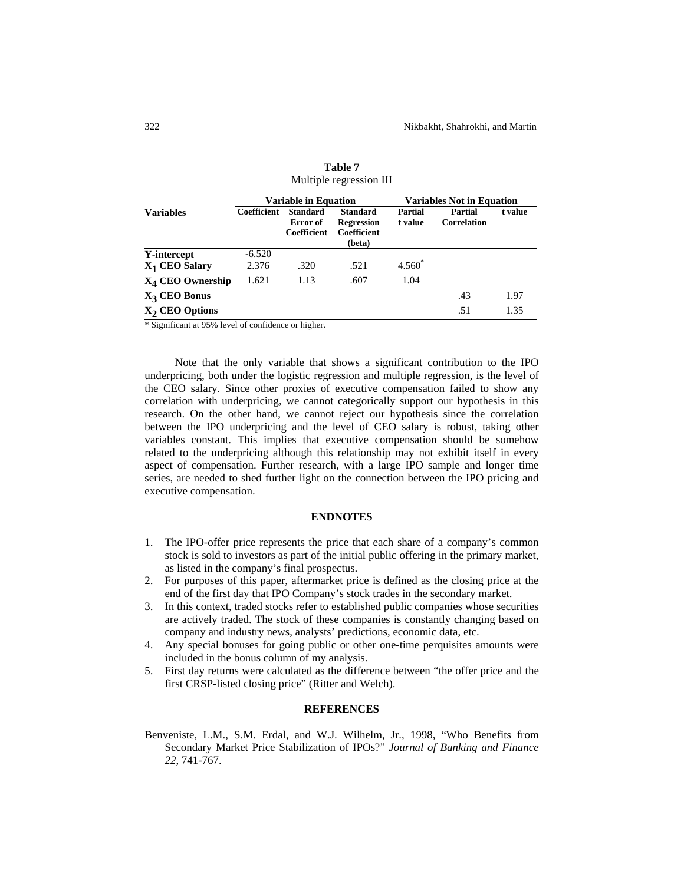|                           | <b>Variable in Equation</b> |                                                   |                                                                      | <b>Variables Not in Equation</b> |                               |         |
|---------------------------|-----------------------------|---------------------------------------------------|----------------------------------------------------------------------|----------------------------------|-------------------------------|---------|
| <b>Variables</b>          | Coefficient                 | <b>Standard</b><br>Error of<br><b>Coefficient</b> | <b>Standard</b><br><b>Regression</b><br><b>Coefficient</b><br>(beta) | Partial<br>t value               | Partial<br><b>Correlation</b> | t value |
| Y-intercept               | $-6.520$                    |                                                   |                                                                      |                                  |                               |         |
| X <sub>1</sub> CEO Salary | 2.376                       | .320                                              | .521                                                                 | $4.560*$                         |                               |         |
| $X_4$ CEO Ownership       | 1.621                       | 1.13                                              | .607                                                                 | 1.04                             |                               |         |
| X <sub>3</sub> CEO Bonus  |                             |                                                   |                                                                      |                                  | .43                           | 1.97    |
| $X2$ CEO Options          |                             |                                                   |                                                                      |                                  | .51                           | 1.35    |

**Table 7**  Multiple regression III

\* Significant at 95% level of confidence or higher.

Note that the only variable that shows a significant contribution to the IPO underpricing, both under the logistic regression and multiple regression, is the level of the CEO salary. Since other proxies of executive compensation failed to show any correlation with underpricing, we cannot categorically support our hypothesis in this research. On the other hand, we cannot reject our hypothesis since the correlation between the IPO underpricing and the level of CEO salary is robust, taking other variables constant. This implies that executive compensation should be somehow related to the underpricing although this relationship may not exhibit itself in every aspect of compensation. Further research, with a large IPO sample and longer time series, are needed to shed further light on the connection between the IPO pricing and executive compensation.

# **ENDNOTES**

- 1. The IPO-offer price represents the price that each share of a company's common stock is sold to investors as part of the initial public offering in the primary market, as listed in the company's final prospectus.
- 2. For purposes of this paper, aftermarket price is defined as the closing price at the end of the first day that IPO Company's stock trades in the secondary market.
- 3. In this context, traded stocks refer to established public companies whose securities are actively traded. The stock of these companies is constantly changing based on company and industry news, analysts' predictions, economic data, etc.
- 4. Any special bonuses for going public or other one-time perquisites amounts were included in the bonus column of my analysis.
- 5. First day returns were calculated as the difference between "the offer price and the first CRSP-listed closing price" (Ritter and Welch).

#### **REFERENCES**

Benveniste, L.M., S.M. Erdal, and W.J. Wilhelm, Jr., 1998, "Who Benefits from Secondary Market Price Stabilization of IPOs?" *Journal of Banking and Finance 22*, 741-767.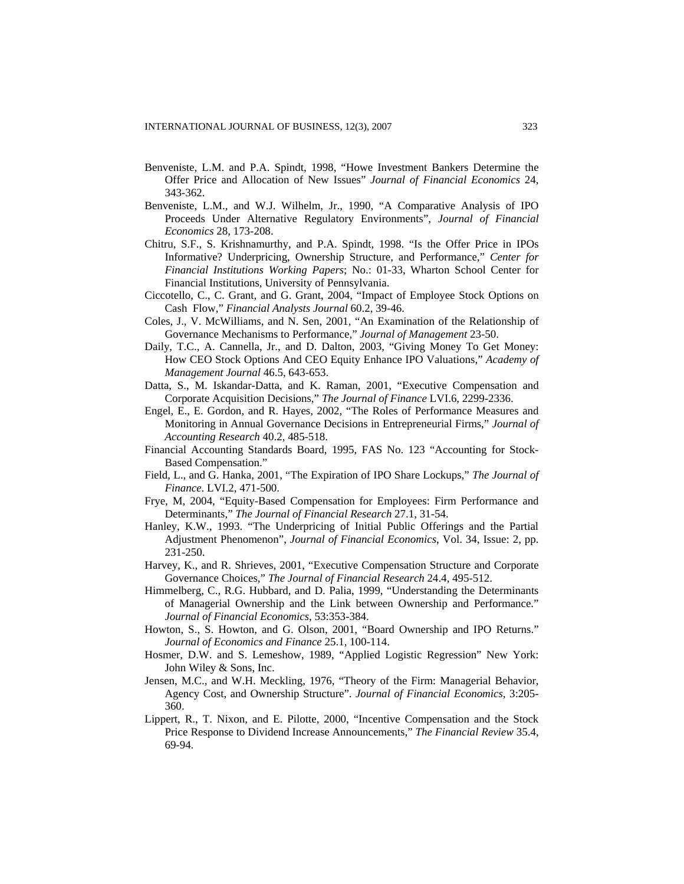- Benveniste, L.M. and P.A. Spindt, 1998, "Howe Investment Bankers Determine the Offer Price and Allocation of New Issues" *Journal of Financial Economics* 24, 343-362.
- Benveniste, L.M., and W.J. Wilhelm, Jr., 1990, "A Comparative Analysis of IPO Proceeds Under Alternative Regulatory Environments", *Journal of Financial Economics* 28, 173-208.
- Chitru, S.F., S. Krishnamurthy, and P.A. Spindt, 1998. "Is the Offer Price in IPOs Informative? Underpricing, Ownership Structure, and Performance," *Center for Financial Institutions Working Papers*; No.: 01-33, Wharton School Center for Financial Institutions, University of Pennsylvania.
- Ciccotello, C., C. Grant, and G. Grant, 2004, "Impact of Employee Stock Options on Cash Flow," *Financial Analysts Journal* 60.2, 39-46.
- Coles, J., V. McWilliams, and N. Sen, 2001, "An Examination of the Relationship of Governance Mechanisms to Performance," *Journal of Management* 23-50.
- Daily, T.C., A. Cannella, Jr., and D. Dalton, 2003, "Giving Money To Get Money: How CEO Stock Options And CEO Equity Enhance IPO Valuations," *Academy of Management Journal* 46.5, 643-653.
- Datta, S., M. Iskandar-Datta, and K. Raman, 2001, "Executive Compensation and Corporate Acquisition Decisions," *The Journal of Finance* LVI.6, 2299-2336.
- Engel, E., E. Gordon, and R. Hayes, 2002, "The Roles of Performance Measures and Monitoring in Annual Governance Decisions in Entrepreneurial Firms," *Journal of Accounting Research* 40.2, 485-518.
- Financial Accounting Standards Board, 1995, FAS No. 123 "Accounting for Stock-Based Compensation."
- Field, L., and G. Hanka, 2001, "The Expiration of IPO Share Lockups," *The Journal of Finance*. LVI.2, 471-500.
- Frye, M, 2004, "Equity-Based Compensation for Employees: Firm Performance and Determinants," *The Journal of Financial Research* 27.1, 31-54.
- Hanley, K.W., 1993. "The Underpricing of Initial Public Offerings and the Partial Adjustment Phenomenon", *Journal of Financial Economics*, Vol. 34, Issue: 2, pp. 231-250.
- Harvey, K., and R. Shrieves, 2001, "Executive Compensation Structure and Corporate Governance Choices," *The Journal of Financial Research* 24.4, 495-512.
- Himmelberg, C., R.G. Hubbard, and D. Palia, 1999, "Understanding the Determinants of Managerial Ownership and the Link between Ownership and Performance." *Journal of Financial Economics*, 53:353-384.
- Howton, S., S. Howton, and G. Olson, 2001, "Board Ownership and IPO Returns." *Journal of Economics and Finance* 25.1, 100-114.
- Hosmer, D.W. and S. Lemeshow, 1989, "Applied Logistic Regression" New York: John Wiley & Sons, Inc.
- Jensen, M.C., and W.H. Meckling, 1976, "Theory of the Firm: Managerial Behavior, Agency Cost, and Ownership Structure". *Journal of Financial Economics*, 3:205- 360.
- Lippert, R., T. Nixon, and E. Pilotte, 2000, "Incentive Compensation and the Stock Price Response to Dividend Increase Announcements," *The Financial Review* 35.4, 69-94.